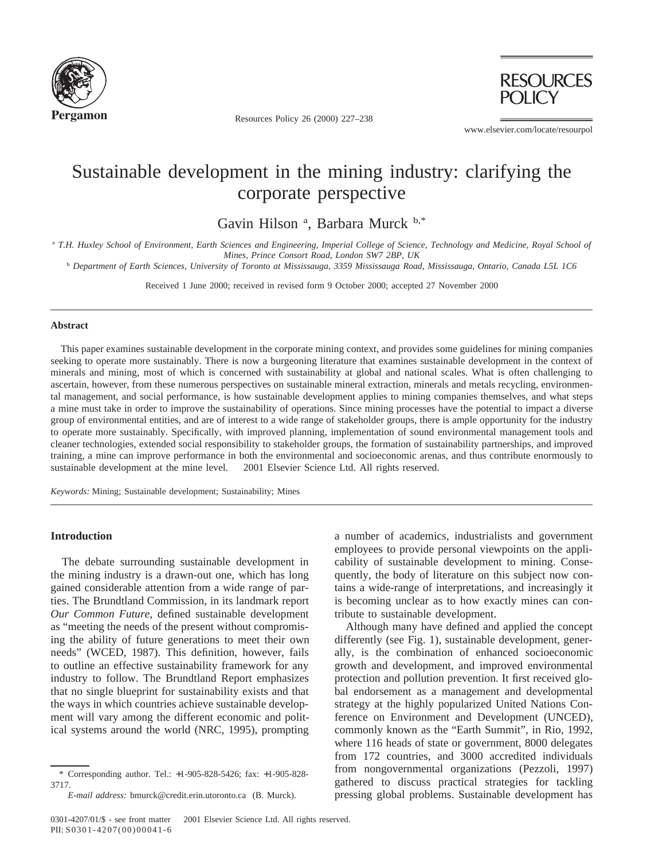

Resources Policy 26 (2000) 227–238



www.elsevier.com/locate/resourpol

# Sustainable development in the mining industry: clarifying the corporate perspective

Gavin Hilson<sup>a</sup>, Barbara Murck<sup>b,\*</sup>

<sup>a</sup> *T.H. Huxley School of Environment, Earth Sciences and Engineering, Imperial College of Science, Technology and Medicine, Royal School of Mines, Prince Consort Road, London SW7 2BP, UK*

<sup>b</sup> *Department of Earth Sciences, University of Toronto at Mississauga, 3359 Mississauga Road, Mississauga, Ontario, Canada L5L 1C6*

Received 1 June 2000; received in revised form 9 October 2000; accepted 27 November 2000

### **Abstract**

This paper examines sustainable development in the corporate mining context, and provides some guidelines for mining companies seeking to operate more sustainably. There is now a burgeoning literature that examines sustainable development in the context of minerals and mining, most of which is concerned with sustainability at global and national scales. What is often challenging to ascertain, however, from these numerous perspectives on sustainable mineral extraction, minerals and metals recycling, environmental management, and social performance, is how sustainable development applies to mining companies themselves, and what steps a mine must take in order to improve the sustainability of operations. Since mining processes have the potential to impact a diverse group of environmental entities, and are of interest to a wide range of stakeholder groups, there is ample opportunity for the industry to operate more sustainably. Specifically, with improved planning, implementation of sound environmental management tools and cleaner technologies, extended social responsibility to stakeholder groups, the formation of sustainability partnerships, and improved training, a mine can improve performance in both the environmental and socioeconomic arenas, and thus contribute enormously to sustainable development at the mine level.  $© 2001$  Elsevier Science Ltd. All rights reserved.

*Keywords:* Mining; Sustainable development; Sustainability; Mines

### **Introduction**

The debate surrounding sustainable development in the mining industry is a drawn-out one, which has long gained considerable attention from a wide range of parties. The Brundtland Commission, in its landmark report *Our Common Future*, defined sustainable development as "meeting the needs of the present without compromising the ability of future generations to meet their own needs" (WCED, 1987). This definition, however, fails to outline an effective sustainability framework for any industry to follow. The Brundtland Report emphasizes that no single blueprint for sustainability exists and that the ways in which countries achieve sustainable development will vary among the different economic and political systems around the world (NRC, 1995), prompting

a number of academics, industrialists and government employees to provide personal viewpoints on the applicability of sustainable development to mining. Consequently, the body of literature on this subject now contains a wide-range of interpretations, and increasingly it is becoming unclear as to how exactly mines can contribute to sustainable development.

Although many have defined and applied the concept differently (see Fig. 1), sustainable development, generally, is the combination of enhanced socioeconomic growth and development, and improved environmental protection and pollution prevention. It first received global endorsement as a management and developmental strategy at the highly popularized United Nations Conference on Environment and Development (UNCED), commonly known as the "Earth Summit", in Rio, 1992, where 116 heads of state or government, 8000 delegates from 172 countries, and 3000 accredited individuals from nongovernmental organizations (Pezzoli, 1997) gathered to discuss practical strategies for tackling pressing global problems. Sustainable development has

<sup>\*</sup> Corresponding author. Tel.: +1-905-828-5426; fax: +1-905-828- 3717.

*E-mail address:* bmurck@credit.erin.utoronto.ca (B. Murck).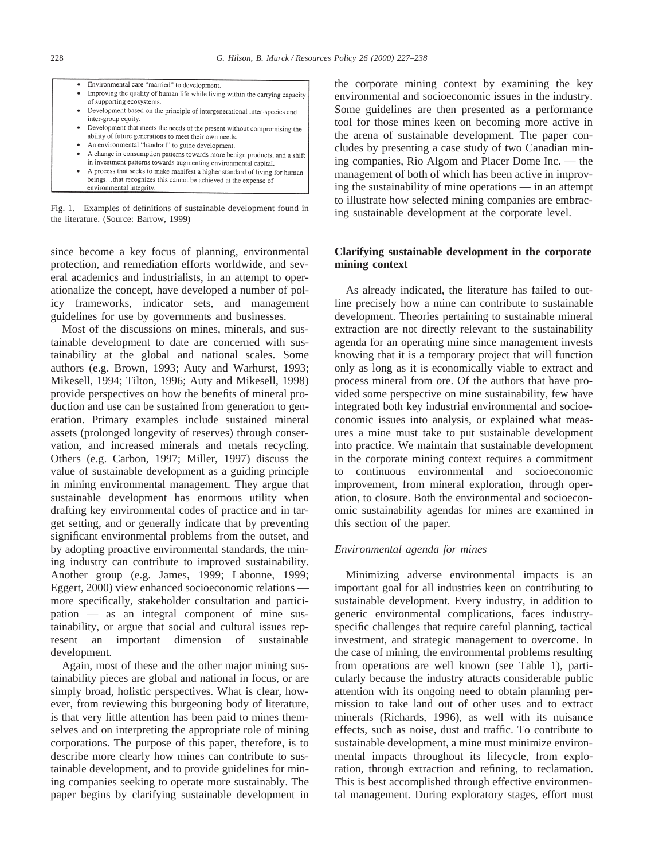

- inter-group equity. Development that meets the needs of the present without compromising the
- ability of future generations to meet their own needs. An environmental "handrail" to guide development.
- 
- A change in consumption patterns towards more benign products, and a shift in investment patterns towards augmenting environmental capital.
- A process that seeks to make manifest a higher standard of living for human beings...that recognizes this cannot be achieved at the expense of environmental integrity.

Fig. 1. Examples of definitions of sustainable development found in the literature. (Source: Barrow, 1999)

since become a key focus of planning, environmental protection, and remediation efforts worldwide, and several academics and industrialists, in an attempt to operationalize the concept, have developed a number of policy frameworks, indicator sets, and management guidelines for use by governments and businesses.

Most of the discussions on mines, minerals, and sustainable development to date are concerned with sustainability at the global and national scales. Some authors (e.g. Brown, 1993; Auty and Warhurst, 1993; Mikesell, 1994; Tilton, 1996; Auty and Mikesell, 1998) provide perspectives on how the benefits of mineral production and use can be sustained from generation to generation. Primary examples include sustained mineral assets (prolonged longevity of reserves) through conservation, and increased minerals and metals recycling. Others (e.g. Carbon, 1997; Miller, 1997) discuss the value of sustainable development as a guiding principle in mining environmental management. They argue that sustainable development has enormous utility when drafting key environmental codes of practice and in target setting, and or generally indicate that by preventing significant environmental problems from the outset, and by adopting proactive environmental standards, the mining industry can contribute to improved sustainability. Another group (e.g. James, 1999; Labonne, 1999; Eggert, 2000) view enhanced socioeconomic relations more specifically, stakeholder consultation and participation — as an integral component of mine sustainability, or argue that social and cultural issues represent an important dimension of sustainable development.

Again, most of these and the other major mining sustainability pieces are global and national in focus, or are simply broad, holistic perspectives. What is clear, however, from reviewing this burgeoning body of literature, is that very little attention has been paid to mines themselves and on interpreting the appropriate role of mining corporations. The purpose of this paper, therefore, is to describe more clearly how mines can contribute to sustainable development, and to provide guidelines for mining companies seeking to operate more sustainably. The paper begins by clarifying sustainable development in the corporate mining context by examining the key environmental and socioeconomic issues in the industry. Some guidelines are then presented as a performance tool for those mines keen on becoming more active in the arena of sustainable development. The paper concludes by presenting a case study of two Canadian mining companies, Rio Algom and Placer Dome Inc. — the management of both of which has been active in improving the sustainability of mine operations — in an attempt to illustrate how selected mining companies are embracing sustainable development at the corporate level.

## **Clarifying sustainable development in the corporate mining context**

As already indicated, the literature has failed to outline precisely how a mine can contribute to sustainable development. Theories pertaining to sustainable mineral extraction are not directly relevant to the sustainability agenda for an operating mine since management invests knowing that it is a temporary project that will function only as long as it is economically viable to extract and process mineral from ore. Of the authors that have provided some perspective on mine sustainability, few have integrated both key industrial environmental and socioeconomic issues into analysis, or explained what measures a mine must take to put sustainable development into practice. We maintain that sustainable development in the corporate mining context requires a commitment to continuous environmental and socioeconomic improvement, from mineral exploration, through operation, to closure. Both the environmental and socioeconomic sustainability agendas for mines are examined in this section of the paper.

#### *Environmental agenda for mines*

Minimizing adverse environmental impacts is an important goal for all industries keen on contributing to sustainable development. Every industry, in addition to generic environmental complications, faces industryspecific challenges that require careful planning, tactical investment, and strategic management to overcome. In the case of mining, the environmental problems resulting from operations are well known (see Table 1), particularly because the industry attracts considerable public attention with its ongoing need to obtain planning permission to take land out of other uses and to extract minerals (Richards, 1996), as well with its nuisance effects, such as noise, dust and traffic. To contribute to sustainable development, a mine must minimize environmental impacts throughout its lifecycle, from exploration, through extraction and refining, to reclamation. This is best accomplished through effective environmental management. During exploratory stages, effort must